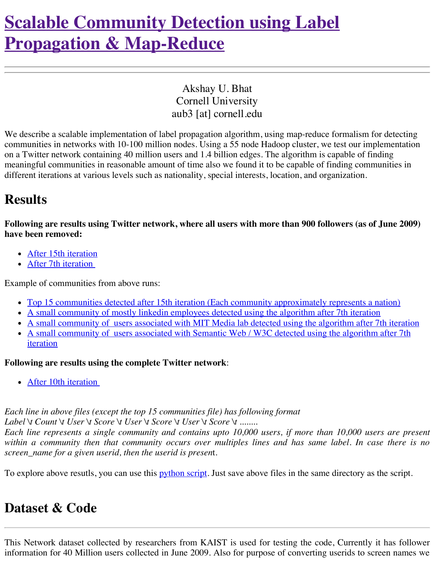# **Scalable Community Detection using Label Propagation & [Map-Reduce](http://www.akshaybhat.com/LPMR)**

Akshay U. Bhat Cornell University aub3 [at] cornell.edu

We describe a scalable implementation of label propagation algorithm, using map-reduce formalism for detecting communities in networks with 10-100 million nodes. Using a 55 node Hadoop cluster, we test our implementation on a Twitter network containing 40 million users and 1.4 billion edges. The algorithm is capable of finding meaningful communities in reasonable amount of time also we found it to be capable of finding communities in different iterations at various levels such as nationality, special interests, location, and organization.

#### **Results**

Following are results using Twitter network, where all users with more than 900 followers (as of June 2009) **have been removed:**

- After 15th [iteration](http://dl.dropbox.com/u/11064717/exclude15.txt)
- After 7th [iteration](http://dl.dropbox.com/u/11064717/exclude7.txt)

Example of communities from above runs:

- Top 15 communities detected after 15th iteration (Each community [approximately](http://dl.dropbox.com/u/11064717/top15.csv) represents a nation)
- A small [community](http://dl.dropbox.com/u/11064717/linkedin.txt) of mostly linkedin employees detected using the algorithm after 7th iteration
- A small [community](http://dl.dropbox.com/u/11064717/mitmedia.txt) of users associated with MIT Media lab detected using the algorithm after 7th iteration
- A small [community](http://dl.dropbox.com/u/11064717/semantic.txt) of users associated with Semantic Web / W3C detected using the algorithm after 7th iteration

#### **Following are results using the complete Twitter network**:

• After 10th [iteration](http://dl.dropbox.com/u/11064717/complete102.txt)

*Each line in above files (except the top 15 communities file) has following format Label \t Count \t User \t Score \t User \t Score \t User \t Score \t ........*

Each line represents a single community and contains upto 10,000 users, if more than 10,000 users are present within a community then that community occurs over multiples lines and has same label. In case there is no *screen\_name for a given userid, then the userid is presen*t.

To explore above resutls, you can use this *[python](http://dl.dropbox.com/u/11064717/explore.py) script*. Just save above files in the same directory as the script.

### **Dataset & Code**

This Network dataset collected by researchers from KAIST is used for testing the code, Currently it has follower information for 40 Million users collected in June 2009. Also for purpose of converting userids to screen names we